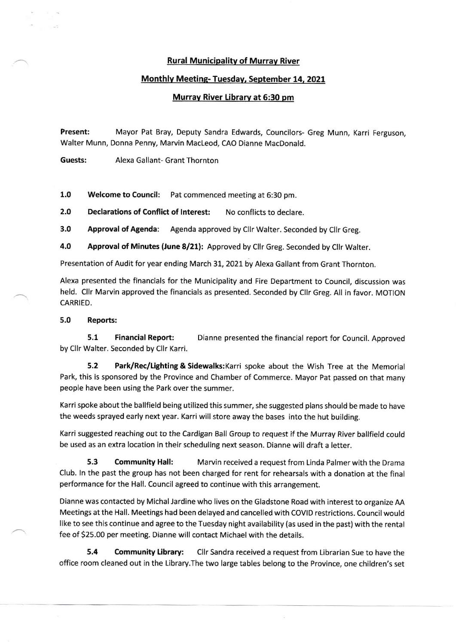## Rural Municipalitv of Murrav River

## Monthlv Meetine- Tuesdav, September 14, 2021

# Murrav River Librarv at 6:30 pm

Present: Mayor Pat Bray, Deputy Sandra Edwards, Councilors- Greg Munn, Karri Ferguson, Walter Munn, Donna Penny, Marvin MacLeod, CAO Dianne MacDonald.

Guests: Alexa Gallant- Grant Thornton

1.0 Welcome to Council: Pat commenced meeting at 6:30 pm.

2.0 Declarations of Conflict of Interest: No conflicts to declare.

3.0 Approval of Agenda: Agenda approved by Cllr Walter. Seconded by Cllr Greg.

4.0 Approval of Minutes (June 8/21): Approved by Cllr Greg. Seconded by Cllr Walter.

Presentation of Audit for year ending March 31, 2021 by Alexa Gallant from Grant Thornton.

Alexa presented the financials for the Municipality and Fire Department to Council, discussion was held. Cllr Marvin approved the financials as presented. Seconded by Cllr Greg. All in favor. MOTION CARRIED.

#### 5.0 Reports:

 $\overline{\phantom{0}}$ 

5.1 Financial Report: Dianne presented the financial report for Council. Approved by Cllr Walter. Seconded by Cllr Karri.

5,2 Park/Rec/tighting & Sidewalks:Karri spoke about the Wish Tree at the Memorial Park, this is sponsored by the Province and Chamber of Commerce. Mayor Pat passed on that many people have been using the Park over the summer.

Karri spoke about the ballfield being utilized this summer, she suggested plans should be made to have the weeds sprayed early next year. Karriwill store away the bases into the hut building.

Karri suggested reaching out to the Cardigan Ball Group to request if the Murray River ballfield could be used as an extra location in their scheduling next season. Dianne will draft a letter.

5.3 Community Hall: Marvin received a request from Linda Palmer with the Drama Club. ln the past the group has not been charged for rent for rehearsals with a donation at the final performance for the Hall. Council agreed to continue with this arrangement.

Dianne was contacted by Michal Jardine who lives on the Gladstone Road with interest to organize AA Meetings at the Hall. Meetings had been delayed and cancelled with COVID restrictions. Council would like to see this continue and agree to the Tuesday night availability (as used in the past) with the rental fee of 525.00 per meeting. Dianne will contact Michael with the details.

5.4 Community Library: Cllr Sandra received a request from Librarian Sue to have the office room cleaned out in the Library.The two large tables belong to the Province, one children's set